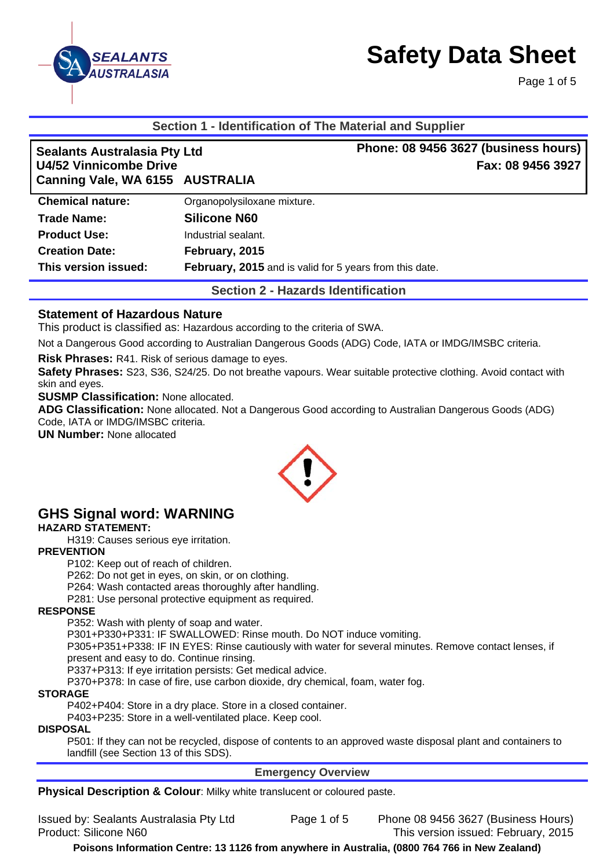

Page 1 of 5

#### **Section 1 - Identification of The Material and Supplier**

| <b>Sealants Australasia Pty Ltd</b><br>U4/52 Vinnicombe Drive |                                                         | Phone: 08 9456 3627 (business hours)<br>Fax: 08 9456 3927 |
|---------------------------------------------------------------|---------------------------------------------------------|-----------------------------------------------------------|
| Canning Vale, WA 6155 AUSTRALIA                               |                                                         |                                                           |
| <b>Chemical nature:</b>                                       | Organopolysiloxane mixture.                             |                                                           |
| Trade Name:                                                   | <b>Silicone N60</b>                                     |                                                           |
| <b>Product Use:</b>                                           | Industrial sealant.                                     |                                                           |
| <b>Creation Date:</b>                                         | February, 2015                                          |                                                           |
| This version issued:                                          | February, 2015 and is valid for 5 years from this date. |                                                           |

**Section 2 - Hazards Identification** 

#### **Statement of Hazardous Nature**

This product is classified as: Hazardous according to the criteria of SWA.

Not a Dangerous Good according to Australian Dangerous Goods (ADG) Code, IATA or IMDG/IMSBC criteria.

**Risk Phrases:** R41. Risk of serious damage to eyes.

**Safety Phrases:** S23, S36, S24/25. Do not breathe vapours. Wear suitable protective clothing. Avoid contact with skin and eyes.

**SUSMP Classification:** None allocated.

**ADG Classification:** None allocated. Not a Dangerous Good according to Australian Dangerous Goods (ADG) Code, IATA or IMDG/IMSBC criteria.

**UN Number:** None allocated



# **GHS Signal word: WARNING**

#### **HAZARD STATEMENT:**

H319: Causes serious eye irritation.

#### **PREVENTION**

P102: Keep out of reach of children.

P262: Do not get in eyes, on skin, or on clothing.

P264: Wash contacted areas thoroughly after handling.

P281: Use personal protective equipment as required.

#### **RESPONSE**

P352: Wash with plenty of soap and water.

P301+P330+P331: IF SWALLOWED: Rinse mouth. Do NOT induce vomiting.

P305+P351+P338: IF IN EYES: Rinse cautiously with water for several minutes. Remove contact lenses, if present and easy to do. Continue rinsing.

P337+P313: If eye irritation persists: Get medical advice.

P370+P378: In case of fire, use carbon dioxide, dry chemical, foam, water fog.

#### **STORAGE**

P402+P404: Store in a dry place. Store in a closed container.

P403+P235: Store in a well-ventilated place. Keep cool.

#### **DISPOSAL**

P501: If they can not be recycled, dispose of contents to an approved waste disposal plant and containers to landfill (see Section 13 of this SDS).

#### **Emergency Overview**

**Physical Description & Colour:** Milky white translucent or coloured paste.

Issued by: Sealants Australasia Pty Ltd Page 1 of 5 Phone 08 9456 3627 (Business Hours) Product: Silicone N60 This version issued: February, 2015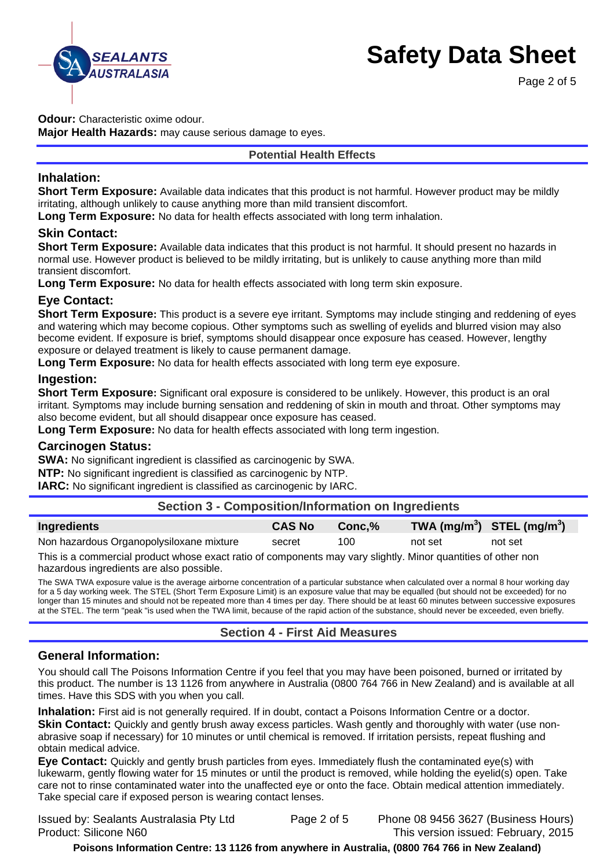

Page 2 of 5

**Odour:** Characteristic oxime odour.

**Major Health Hazards:** may cause serious damage to eyes.

#### **Potential Health Effects**

#### **Inhalation:**

**Short Term Exposure:** Available data indicates that this product is not harmful. However product may be mildly irritating, although unlikely to cause anything more than mild transient discomfort.

**Long Term Exposure:** No data for health effects associated with long term inhalation.

### **Skin Contact:**

**Short Term Exposure:** Available data indicates that this product is not harmful. It should present no hazards in normal use. However product is believed to be mildly irritating, but is unlikely to cause anything more than mild transient discomfort.

**Long Term Exposure:** No data for health effects associated with long term skin exposure.

# **Eye Contact:**

**Short Term Exposure:** This product is a severe eye irritant. Symptoms may include stinging and reddening of eyes and watering which may become copious. Other symptoms such as swelling of eyelids and blurred vision may also become evident. If exposure is brief, symptoms should disappear once exposure has ceased. However, lengthy exposure or delayed treatment is likely to cause permanent damage.

**Long Term Exposure:** No data for health effects associated with long term eye exposure.

### **Ingestion:**

**Short Term Exposure:** Significant oral exposure is considered to be unlikely. However, this product is an oral irritant. Symptoms may include burning sensation and reddening of skin in mouth and throat. Other symptoms may also become evident, but all should disappear once exposure has ceased.

**Long Term Exposure:** No data for health effects associated with long term ingestion.

#### **Carcinogen Status:**

**SWA:** No significant ingredient is classified as carcinogenic by SWA.

**NTP:** No significant ingredient is classified as carcinogenic by NTP.

**IARC:** No significant ingredient is classified as carcinogenic by IARC.

| <b>Section 3 - Composition/Information on Ingredients</b> |               |        |         |                                                    |  |
|-----------------------------------------------------------|---------------|--------|---------|----------------------------------------------------|--|
| Ingredients                                               | <b>CAS No</b> | Conc.% |         | TWA (mg/m <sup>3</sup> ) STEL (mg/m <sup>3</sup> ) |  |
| Non hazardous Organopolysiloxane mixture                  | secret        | 100    | not set | not set                                            |  |

This is a commercial product whose exact ratio of components may vary slightly. Minor quantities of other non hazardous ingredients are also possible.

The SWA TWA exposure value is the average airborne concentration of a particular substance when calculated over a normal 8 hour working day for a 5 day working week. The STEL (Short Term Exposure Limit) is an exposure value that may be equalled (but should not be exceeded) for no longer than 15 minutes and should not be repeated more than 4 times per day. There should be at least 60 minutes between successive exposures at the STEL. The term "peak "is used when the TWA limit, because of the rapid action of the substance, should never be exceeded, even briefly.

# **Section 4 - First Aid Measures**

#### **General Information:**

You should call The Poisons Information Centre if you feel that you may have been poisoned, burned or irritated by this product. The number is 13 1126 from anywhere in Australia (0800 764 766 in New Zealand) and is available at all times. Have this SDS with you when you call.

**Inhalation:** First aid is not generally required. If in doubt, contact a Poisons Information Centre or a doctor.

**Skin Contact:** Quickly and gently brush away excess particles. Wash gently and thoroughly with water (use nonabrasive soap if necessary) for 10 minutes or until chemical is removed. If irritation persists, repeat flushing and obtain medical advice.

**Eye Contact:** Quickly and gently brush particles from eyes. Immediately flush the contaminated eye(s) with lukewarm, gently flowing water for 15 minutes or until the product is removed, while holding the eyelid(s) open. Take care not to rinse contaminated water into the unaffected eye or onto the face. Obtain medical attention immediately. Take special care if exposed person is wearing contact lenses.

Issued by: Sealants Australasia Pty Ltd Page 2 of 5 Phone 08 9456 3627 (Business Hours) Product: Silicone N60 This version issued: February, 2015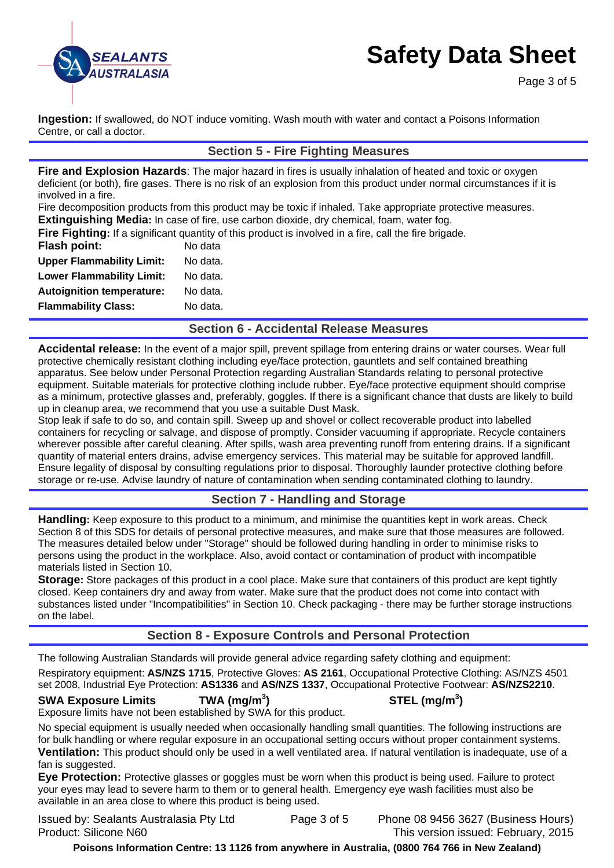

Page 3 of 5

**Ingestion:** If swallowed, do NOT induce vomiting. Wash mouth with water and contact a Poisons Information Centre, or call a doctor.

### **Section 5 - Fire Fighting Measures**

**Fire and Explosion Hazards**: The major hazard in fires is usually inhalation of heated and toxic or oxygen deficient (or both), fire gases. There is no risk of an explosion from this product under normal circumstances if it is involved in a fire.

Fire decomposition products from this product may be toxic if inhaled. Take appropriate protective measures. **Extinguishing Media:** In case of fire, use carbon dioxide, dry chemical, foam, water fog.

**Fire Fighting:** If a significant quantity of this product is involved in a fire, call the fire brigade.

| <b>Flash point:</b>              | No data  |
|----------------------------------|----------|
| <b>Upper Flammability Limit:</b> | No data. |
| <b>Lower Flammability Limit:</b> | No data. |
| <b>Autoignition temperature:</b> | No data. |
| <b>Flammability Class:</b>       | No data. |

**Section 6 - Accidental Release Measures** 

**Accidental release:** In the event of a major spill, prevent spillage from entering drains or water courses. Wear full protective chemically resistant clothing including eye/face protection, gauntlets and self contained breathing apparatus. See below under Personal Protection regarding Australian Standards relating to personal protective equipment. Suitable materials for protective clothing include rubber. Eye/face protective equipment should comprise as a minimum, protective glasses and, preferably, goggles. If there is a significant chance that dusts are likely to build up in cleanup area, we recommend that you use a suitable Dust Mask.

Stop leak if safe to do so, and contain spill. Sweep up and shovel or collect recoverable product into labelled containers for recycling or salvage, and dispose of promptly. Consider vacuuming if appropriate. Recycle containers wherever possible after careful cleaning. After spills, wash area preventing runoff from entering drains. If a significant quantity of material enters drains, advise emergency services. This material may be suitable for approved landfill. Ensure legality of disposal by consulting regulations prior to disposal. Thoroughly launder protective clothing before storage or re-use. Advise laundry of nature of contamination when sending contaminated clothing to laundry.

# **Section 7 - Handling and Storage**

**Handling:** Keep exposure to this product to a minimum, and minimise the quantities kept in work areas. Check Section 8 of this SDS for details of personal protective measures, and make sure that those measures are followed. The measures detailed below under "Storage" should be followed during handling in order to minimise risks to persons using the product in the workplace. Also, avoid contact or contamination of product with incompatible materials listed in Section 10.

**Storage:** Store packages of this product in a cool place. Make sure that containers of this product are kept tightly closed. Keep containers dry and away from water. Make sure that the product does not come into contact with substances listed under "Incompatibilities" in Section 10. Check packaging - there may be further storage instructions on the label.

# **Section 8 - Exposure Controls and Personal Protection**

The following Australian Standards will provide general advice regarding safety clothing and equipment:

Respiratory equipment: **AS/NZS 1715**, Protective Gloves: **AS 2161**, Occupational Protective Clothing: AS/NZS 4501 set 2008, Industrial Eye Protection: **AS1336** and **AS/NZS 1337**, Occupational Protective Footwear: **AS/NZS2210**.

#### **SWA Exposure Limits TWA (mg/m<sup>3</sup>**

**) STEL (mg/m<sup>3</sup> )** 

Exposure limits have not been established by SWA for this product.

No special equipment is usually needed when occasionally handling small quantities. The following instructions are for bulk handling or where regular exposure in an occupational setting occurs without proper containment systems. **Ventilation:** This product should only be used in a well ventilated area. If natural ventilation is inadequate, use of a fan is suggested.

**Eye Protection:** Protective glasses or goggles must be worn when this product is being used. Failure to protect your eyes may lead to severe harm to them or to general health. Emergency eye wash facilities must also be available in an area close to where this product is being used.

Issued by: Sealants Australasia Pty Ltd Page 3 of 5 Phone 08 9456 3627 (Business Hours) Product: Silicone N60 This version issued: February, 2015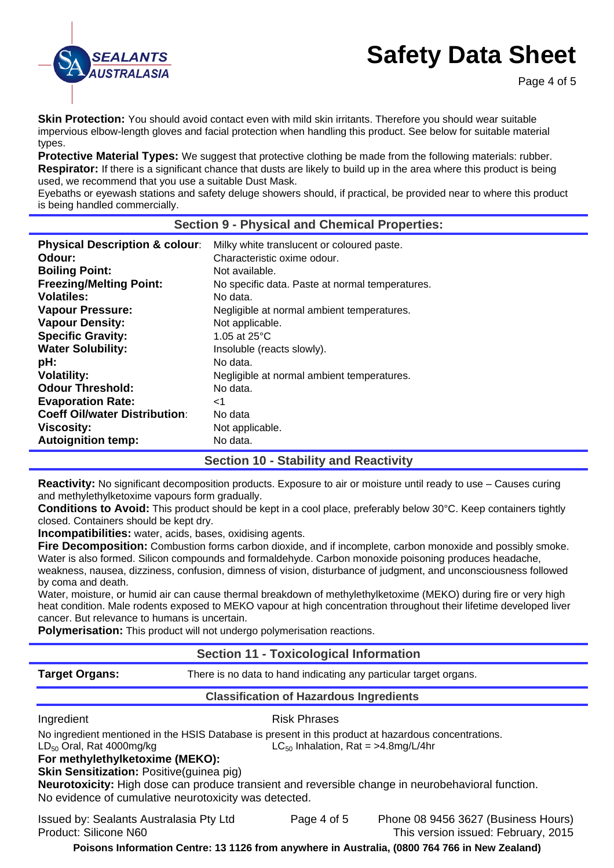

**Skin Protection:** You should avoid contact even with mild skin irritants. Therefore you should wear suitable impervious elbow-length gloves and facial protection when handling this product. See below for suitable material types.

**Protective Material Types:** We suggest that protective clothing be made from the following materials: rubber. **Respirator:** If there is a significant chance that dusts are likely to build up in the area where this product is being used, we recommend that you use a suitable Dust Mask.

Eyebaths or eyewash stations and safety deluge showers should, if practical, be provided near to where this product is being handled commercially.

#### **Section 9 - Physical and Chemical Properties:**

| <b>Physical Description &amp; colour:</b> | Milky white translucent or coloured paste.      |
|-------------------------------------------|-------------------------------------------------|
| Odour:                                    | Characteristic oxime odour.                     |
| <b>Boiling Point:</b>                     | Not available.                                  |
| <b>Freezing/Melting Point:</b>            | No specific data. Paste at normal temperatures. |
| Volatiles:                                | No data.                                        |
| <b>Vapour Pressure:</b>                   | Negligible at normal ambient temperatures.      |
| <b>Vapour Density:</b>                    | Not applicable.                                 |
| <b>Specific Gravity:</b>                  | 1.05 at $25^{\circ}$ C                          |
| <b>Water Solubility:</b>                  | Insoluble (reacts slowly).                      |
| pH:                                       | No data.                                        |
| <b>Volatility:</b>                        | Negligible at normal ambient temperatures.      |
| <b>Odour Threshold:</b>                   | No data.                                        |
| <b>Evaporation Rate:</b>                  | -1                                              |
|                                           |                                                 |
| <b>Coeff Oil/water Distribution:</b>      | No data                                         |
| <b>Viscosity:</b>                         | Not applicable.                                 |
| <b>Autoignition temp:</b>                 | No data.                                        |

# **Section 10 - Stability and Reactivity**

**Reactivity:** No significant decomposition products. Exposure to air or moisture until ready to use – Causes curing and methylethylketoxime vapours form gradually.

**Conditions to Avoid:** This product should be kept in a cool place, preferably below 30°C. Keep containers tightly closed. Containers should be kept dry.

**Incompatibilities:** water, acids, bases, oxidising agents.

**Fire Decomposition:** Combustion forms carbon dioxide, and if incomplete, carbon monoxide and possibly smoke. Water is also formed. Silicon compounds and formaldehyde. Carbon monoxide poisoning produces headache, weakness, nausea, dizziness, confusion, dimness of vision, disturbance of judgment, and unconsciousness followed by coma and death.

Water, moisture, or humid air can cause thermal breakdown of methylethylketoxime (MEKO) during fire or very high heat condition. Male rodents exposed to MEKO vapour at high concentration throughout their lifetime developed liver cancer. But relevance to humans is uncertain.

**Polymerisation:** This product will not undergo polymerisation reactions.

#### **Section 11 - Toxicological Information**

**Target Organs:** There is no data to hand indicating any particular target organs.

#### **Classification of Hazardous Ingredients**

Ingredient **Risk Phrases** 

No ingredient mentioned in the HSIS Database is present in this product at hazardous concentrations.

 $LD_{50}$  Oral, Rat 4000mg/kg LC<sub>50</sub> Inhalation, Rat = >4.8mg/L/4hr **For methylethylketoxime (MEKO):** 

**Skin Sensitization:** Positive(guinea pig)

**Neurotoxicity:** High dose can produce transient and reversible change in neurobehavioral function. No evidence of cumulative neurotoxicity was detected.

Issued by: Sealants Australasia Pty Ltd Page 4 of 5 Phone 08 9456 3627 (Business Hours) Product: Silicone N60 This version issued: February, 2015